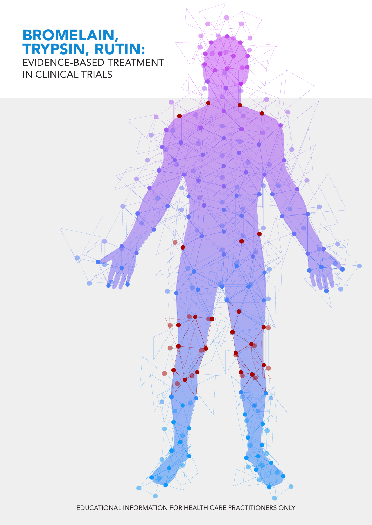# BROMELAIN, TRYPSIN, RUTIN: EVIDENCE-BASED TREATMENT IN CLINICAL TRIALS

EDUCATIONAL INFORMATION FOR HEALTH CARE PRACTITIONERS ONLY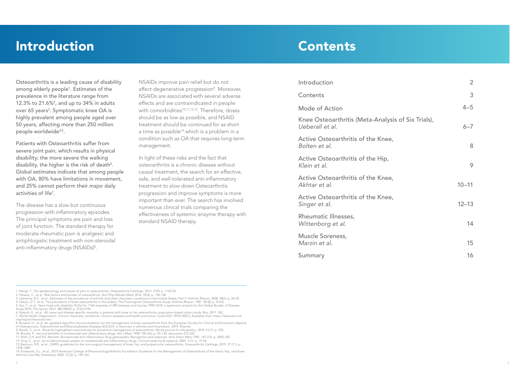# Contents

Osteoarthritis is a leading cause of disability among elderly people<sup>1</sup>. Estimates of the prevalence in the literature range from 12.3% to 21.6%2 , and up to 34% in adults over 65 years<sup>3</sup>. Symptomatic knee OA is highly prevalent among people aged over 50 years, affecting more than 250 million people worldwide<sup>4,5</sup>.

| <b>Introduction</b>                                                   | $\angle$  |
|-----------------------------------------------------------------------|-----------|
| Contents                                                              | 3         |
| <b>Mode of Action</b>                                                 | $4 - 5$   |
| Knee Osteoarthritis (Meta-Analysis of Six Trials),<br>Ueberall et al. | $6 - 7$   |
| Active Osteoarthritis of the Knee,<br>Bolten et al.                   | 8         |
| Active Osteoarthritis of the Hip,<br>Klein et al.                     | 9         |
| Active Osteoarthritis of the Knee,<br>Akhtar et al.                   | $10 - 11$ |
| Active Osteoarthritis of the Knee,<br>Singer et al.                   | $12 - 13$ |
| Rheumatic Illnesses,<br>Wittenborg et al.                             | 14        |
| <b>Muscle Soreness,</b><br>Marzin et al.                              | 15        |
| Summary                                                               | 16        |

Patients with Osteoarthritis suffer from severe joint pain, which results in physical disability; the more severe the walking disability, the higher is the risk of death<sup>6</sup>. Global estimates indicate that among people with OA, 80% have limitations in movement, and 25% cannot perform their major daily activities of life7 .

The disease has a slow but continuous progression with inflammatory episodes. The principal symptoms are pain and loss of joint function. The standard therapy for moderate rheumatic pain is analgesic and antiphlogistic treatment with non-steroidal anti-inflammatory drugs (NSAIDs)<sup>8</sup> .

NSAIDs improve pain relief but do not affect degenerative progression<sup>9</sup>. Moreover, NSAIDs are associated with several adverse effects and are contraindicated in people with comorbidities<sup>10,11,12,13</sup>. Therefore, doses should be as low as possible, and NSAID treatment should be continued for as short a time as possible<sup>14</sup> which is a problem in a condition such as OA that requires long-term management.

In light of these risks and the fact that osteoarthritis is a chronic disease without causal treatment, the search for an effective, safe, and well-tolerated anti-inflammatory treatment to slow down Osteoarthritis progression and improve symptoms is more important than ever. The search has involved numerous clinical trials comparing the effectiveness of systemic enzyme therapy with standard NSAID therapy.

# **Introduction**

- 1: Neogi, T., The epidemiology and impact of pain in osteoarthritis. Osteoarthritis Cartilage, 2013. 21(9): p. 1145-53.
- 2: Palazzo, C., et al., Risk factors and burden of osteoarthritis. Ann Phys Rehabil Med, 2016. 59(3): p. 134-138.
- 3: Lawrence, R.C., et al., Estimates of the prevalence of arthritis and other rheumatic conditions in the United States. Part II. Arthritis Rheum, 2008. 58(1): p. 26-35. 4: Felson, D.T., et al., The prevalence of knee osteoarthritis in the elderly. The Framingham Osteoarthritis Study. Arthritis Rheum, 1987. 30 (8): p. 914-8.
- 5: Vos, T., et al., Years lived with disability (YLDs) for 1160 sequelae of 289 diseases and injuries 1990–2010: a systematic analysis for the Global Burden of Disease
- Study 2010. The lancet, 2012. 380 (9859): p. 2163-2196.
- 6: Nüesch, E., et al., All cause and disease specific mortality in patients with knee or hip osteoarthritis: population based cohort study. Bmj, 2011. 342. 7: World Health Organization. Chronic rheumatic conditions. Chronic diseases and health promotion [cited 2021 29/01/2021]; Available from: https://www.who.int/
- chp/topics/rheumatic/en/.

- 9: Ravalli, S., et al., Recently highlighted nutraceuticals for preventive management of osteoarthritis. World journal of orthopedics, 2018. 9 (11): p. 255. 10: Brooks, P., Use and benefits of nonsteroidal anti-inflammatory drugs. Am J Med, 1998. 104 (3a): p. 9S-13S; discussion 21S-22S.
- 11: Roth, S.H. and R.E. Bennett, Nonsteroidal anti-inflammatory drug gastropathy. Recognition and response. Arch Intern Med, 1987. 147 (12): p. 2093-100.

12: Ong, C., et al., An evidence-based update on nonsteroidal anti-inflammatory drugs. Clinical medicine & research, 2007. 5 (1): p. 19-34.

14: Kolasinski, S.L., et al., 2019 American College of Rheumatology/Arthritis Foundation Guideline for the Management of Osteoarthritis of the Hand, Hip, and Knee. Arthritis Care Res (Hoboken), 2020. 72 (2): p. 149-162.

# Introduction

<sup>8:</sup> Bruyère, O., et al. An updated algorithm recommendation for the management of knee osteoarthritis from the European Society for Clinical and Economic Aspects of Osteoporosis, Osteoarthritis and Musculoskeletal Diseases (ESCEO). in Seminars in arthritis and rheumatism. 2019. Elsevier.

<sup>13:</sup> Bannuru, R.R., et al., OARSI guidelines for the non-surgical management of knee, hip, and polyarticular osteoarthritis. Osteoarthritis Cartilage, 2019. 27 (11): p. 1578-1589.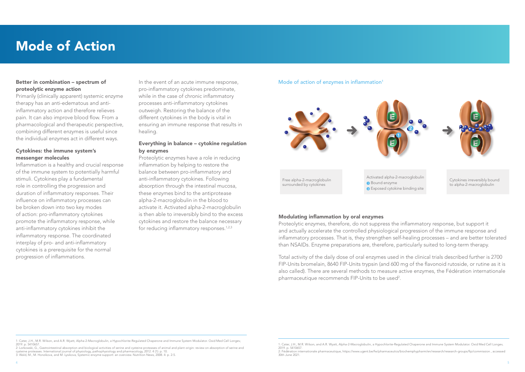Total activity of the daily dose of oral enzymes used in the clinical trials described further is 2700 FIP-Units bromelain, 8640 FIP-Units trypsin (and 600 mg of the flavonoid rutoside, or rutine as it is also called). There are several methods to measure active enzymes, the Fédération internationale pharmaceutique recommends FIP-Units to be used<sup>2</sup>.

2: Fédération internationale pharmaceutique, https://www.ugent.be/fw/pharmaceutics/biochemphypharm/en/research/research-groups/fip/commission , accessed

# Mode of Action

#### Modulating inflammation by oral enzymes

Proteolytic enzymes, therefore, do not suppress the inflammatory response, but support it and actually accelerate the controlled physiological progression of the immune response and inflammatory processes. That is, they strengthen self-healing processes – and are better tolerated than NSAIDs. Enzyme preparations are, therefore, particularly suited to long-term therapy.

Proteolytic enzymes have a role in reducing inflammation by helping to restore the balance between pro-inflammatory and anti-inflammatory cytokines. Following absorption through the intestinal mucosa, these enzymes bind to the antiprotease alpha-2-macroglobulin in the blood to activate it. Activated alpha-2-macroglobulin is then able to irreversibly bind to the excess cytokines and restore the balance necessary for reducing inflammatory responses.<sup>1,2,3</sup>

#### Mode of action of enzymes in inflammation<sup>1</sup>



### Better in combination – spectrum of proteolytic enzyme action

Primarily (clinically apparent) systemic enzyme therapy has an anti-edematous and antiinflammatory action and therefore relieves pain. It can also improve blood flow. From a pharmacological and therapeutic perspective, combining different enzymes is useful since the individual enzymes act in different ways.

# Cytokines: the immune system's messenger molecules

Inflammation is a healthy and crucial response of the immune system to potentially harmful stimuli. Cytokines play a fundamental role in controlling the progression and duration of inflammatory responses. Their influence on inflammatory processes can be broken down into two key modes of action: pro-inflammatory cytokines promote the inflammatory response, while anti-inflammatory cytokines inhibit the inflammatory response. The coordinated interplay of pro- and anti-inflammatory cytokines is a prerequisite for the normal progression of inflammations.

In the event of an acute immune response, pro-inflammatory cytokines predominate, while in the case of chronic inflammatory processes anti-inflammatory cytokines outweigh. Restoring the balance of the different cytokines in the body is vital in ensuring an immune response that results in healing.

# Everything in balance – cytokine regulation by enzymes

<sup>1:</sup> Cater, J.H., M.R. Wilson, and A.R. Wyatt, Alpha-2-Macroglobulin, a Hypochlorite-Regulated Chaperone and Immune System Modulator. Oxid Med Cell Longev, 2019. p. 5410657.

<sup>2:</sup> Lorkowski, G., Gastrointestinal absorption and biological activities of serine and cysteine proteases of animal and plant origin: review on absorption of serine and cysteine proteases. International journal of physiology, pathophysiology and pharmacology, 2012. 4 (1): p. 10.

<sup>3:</sup> Wald, M., M. Honzikova, and M. Lysikova, Systemic enzyme support: an overview. Nutrition News, 2008. 4: p. 2-5.

<sup>1:</sup> Cater, J.H., M.R. Wilson, and A.R. Wyatt, Alpha-2-Macroglobulin, a Hypochlorite-Regulated Chaperone and Immune System Modulator. Oxid Med Cell Longev, 2019. p. 5410657.

<sup>30</sup>th June 2021.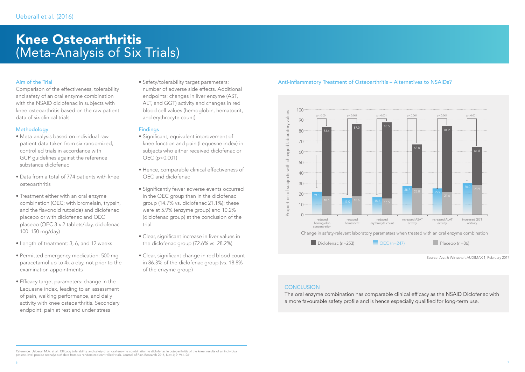Reference: Ueberall M.A. et al.: Efficacy, tolerability, and safety of an oral enzyme combination vs diclofenac in osteoarthritis of the knee: results of an individual patient-level pooled reanalysis of data from six randomized controlled trials. Journal of Pain Research 2016, Nov 4; 9: 941–961

# Knee Osteoarthritis (Meta-Analysis of Six Trials)

# Anti-Inflammatory Treatment of Osteoarthritis – Alternatives to NSAIDs?

Source: Arzt & Wirtschaft AUDIMAX 1, February 2017



### **CONCLUSION**

### Aim of the Trial

Comparison of the effectiveness, tolerability and safety of an oral enzyme combination with the NSAID diclofenac in subjects with knee osteoarthritis based on the raw patient data of six clinical trials

# **Methodology**

- Meta-analysis based on individual raw patient data taken from six randomized, controlled trials in accordance with GCP guidelines against the reference substance diclofenac
- Data from a total of 774 patients with knee osteoarthritis
- Treatment either with an oral enzyme combination (OEC; with bromelain, trypsin, and the flavonoid rutoside) and diclofenac placebo or with diclofenac and OEC placebo (OEC 3 x 2 tablets/day, diclofenac 100–150 mg/day)
- Length of treatment: 3, 6, and 12 weeks
- Permitted emergency medication: 500 mg paracetamol up to 4x a day, not prior to the examination appointments
- Efficacy target parameters: change in the Lequesne index, leading to an assessment of pain, walking performance, and daily activity with knee osteoarthritis. Secondary endpoint: pain at rest and under stress

• Safety/tolerability target parameters: number of adverse side effects. Additional endpoints: changes in liver enzyme (AST, ALT, and GGT) activity and changes in red blood cell values (hemoglobin, hematocrit, and erythrocyte count)

#### **Findings**

- Significant, equivalent improvement of knee function and pain (Lequesne index) in subjects who either received diclofenac or OEC (p<0.001)
- Hence, comparable clinical effectiveness of OEC and diclofenac
- Significantly fewer adverse events occurred in the OEC group than in the diclofenac group (14.7% vs. diclofenac 21.1%); these were at 5.9% (enzyme group) and 10.2% (diclofenac group) at the conclusion of the trial
- Clear, significant increase in liver values in the diclofenac group (72.6% vs. 28.2%)
- Clear, significant change in red blood count in 86.3% of the diclofenac group (vs. 18.8% of the enzyme group)

The oral enzyme combination has comparable clinical efficacy as the NSAID Diclofenac with a more favourable safety profile and is hence especially qualified for long-term use.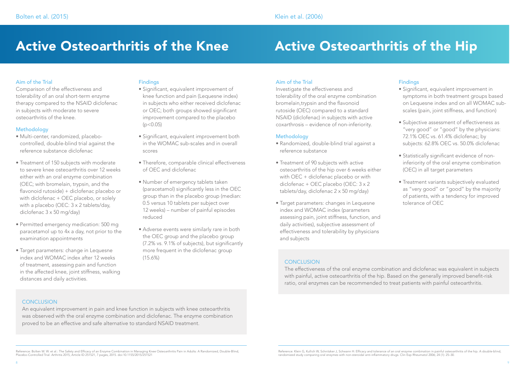# Active Osteoarthritis of the Knee Active Osteoarthritis of the Hip

# Aim of the Trial

Comparison of the effectiveness and tolerability of an oral short-term enzyme therapy compared to the NSAID diclofenac in subjects with moderate to severe osteoarthritis of the knee.

# **Methodology**

- Multi-center, randomized, placebocontrolled, double-blind trial against the reference substance diclofenac
- Treatment of 150 subjects with moderate to severe knee osteoarthritis over 12 weeks either with an oral enzyme combination (OEC; with bromelain, trypsin, and the flavonoid rutoside) + diclofenac placebo or with diclofenac + OEC placebo, or solely with a placebo (OEC: 3 x 2 tablets/day, diclofenac 3 x 50 mg/day)
- Permitted emergency medication: 500 mg paracetamol up to 4x a day, not prior to the examination appointments
- Target parameters: change in Lequesne index and WOMAC index after 12 weeks of treatment, assessing pain and function in the affected knee, joint stiffness, walking distances and daily activities.

# **Findings**

- Significant, equivalent improvement of knee function and pain (Lequesne index) in subjects who either received diclofenac or OEC; both groups showed significant improvement compared to the placebo  $(p < 0.05)$
- Significant, equivalent improvement both in the WOMAC sub-scales and in overall scores
- Therefore, comparable clinical effectiveness of OEC and diclofenac
- Number of emergency tablets taken (paracetamol) significantly less in the OEC group than in the placebo group (median: 0.5 versus 10 tablets per subject over 12 weeks) – number of painful episodes reduced
- Adverse events were similarly rare in both the OEC group and the placebo group (7.2% vs. 9.1% of subjects), but significantly more frequent in the diclofenac group (15.6%)

# Aim of the Trial

Investigate the effectiveness and tolerability of the oral enzyme combination bromelain,trypsin and the flavonoid rutoside (OEC) compared to a standard NSAID (diclofenac) in subjects with active coxarthrosis – evidence of non-inferiority.

### **Methodology**

- Randomized, double-blind trial against a reference substance
- Treatment of 90 subjects with active osteoarthritis of the hip over 6 weeks either with OEC + diclofenac placebo or with diclofenac + OEC placebo (OEC: 3 x 2 tablets/day, diclofenac 2 x 50 mg/day)
- Target parameters: changes in Lequesne index and WOMAC index (parameters assessing pain, joint stiffness, function, and daily activities), subjective assessment of effectiveness and tolerability by physicians and subjects

### **CONCLUSION**

- Significant, equivalent improvement in symptoms in both treatment groups based on Lequesne index and on all WOMAC subscales (pain, joint stiffness, and function)
- Subjective assessment of effectiveness as "very good" or "good" by the physicians: 72.1% OEC vs. 61.4% diclofenac; by subjects: 62.8% OEC vs. 50.0% diclofenac
- Statistically significant evidence of noninferiority of the oral enzyme combination (OEC) in all target parameters
- Treatment variants subjectively evaluated as "very good" or "good" by the majority of patients, with a tendency for improved tolerance of OEC

Reference: Bolten W. W. et al.: The Safety and Efficacy of an Enzyme Combination in Managing Knee Osteoarthritis Pain in Adults: A Randomized, Double-Blind, Placebo-Controlled Trial. Arthritis 2015, Article ID 251521, 7 pages, 2015. doi:10.1155/2015/251521

# **Findings**

The effectiveness of the oral enzyme combination and diclofenac was equivalent in subjects with painful, active osteoarthritis of the hip. Based on the generally improved benefit-risk ratio, oral enzymes can be recommended to treat patients with painful osteoarthritis.

### **CONCLUSION**

An equivalent improvement in pain and knee function in subjects with knee osteoarthritis was observed with the oral enzyme combination and diclofenac. The enzyme combination proved to be an effective and safe alternative to standard NSAID treatment.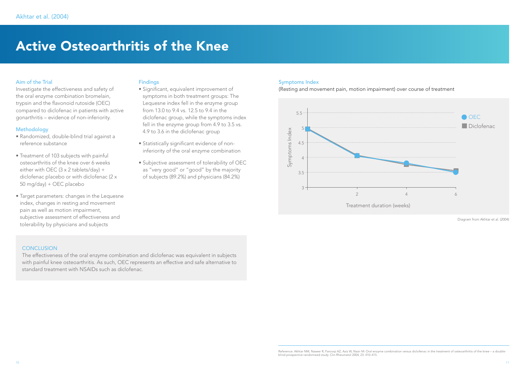# Active Osteoarthritis of the Knee

The effectiveness of the oral enzyme combination and diclofenac was equivalent in subjects with painful knee osteoarthritis. As such, OEC represents an effective and safe alternative to standard treatment with NSAIDs such as diclofenac.

# Aim of the Trial

Investigate the effectiveness and safety of the oral enzyme combination bromelain, trypsin and the flavonoid rutoside (OEC) compared to diclofenac in patients with active gonarthritis – evidence of non-inferiority.

#### **Methodology**

- Randomized, double-blind trial against a reference substance
- Treatment of 103 subjects with painful osteoarthritis of the knee over 6 weeks either with OEC  $(3 \times 2 \text{ tablets/day}) +$ diclofenac placebo or with diclofenac (2 x 50 mg/day) + OEC placebo
- Target parameters: changes in the Lequesne index, changes in resting and movement pain as well as motion impairment, subjective assessment of effectiveness and tolerability by physicians and subjects

#### Findings

- Significant, equivalent improvement of symptoms in both treatment groups: The Lequesne index fell in the enzyme group from 13.0 to 9.4 vs. 12.5 to 9.4 in the diclofenac group, while the symptoms index fell in the enzyme group from 4.9 to 3.5 vs. 4.9 to 3.6 in the diclofenac group
- Statistically significant evidence of noninferiority of the oral enzyme combination
- Subjective assessment of tolerability of OEC as "very good" or "good" by the majority of subjects (89.2%) and physicians (84.2%)

#### Symptoms Index

(Resting and movement pain, motion impairment) over course of treatment

Diagram from Akhtar et al. (2004)



### **CONCLUSION**

Reference: Akhtar NM, Naseer R, Faroogi AZ, Aziz W, Nazir M: Oral enzyme combination versus diclofenac in the treatment of osteoarthritis of the knee – a doubleblind prospective randomized study. Clin Rheumatol 2004; 23: 410–415.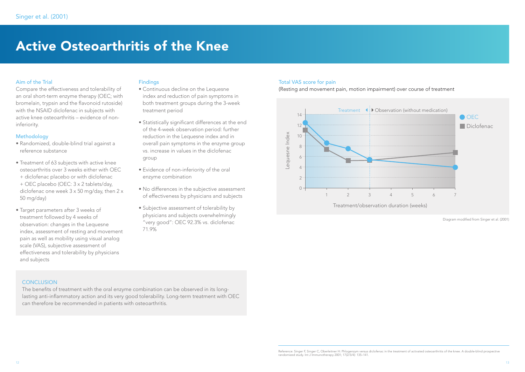# Active Osteoarthritis of the Knee

The benefits of treatment with the oral enzyme combination can be observed in its longlasting anti-inflammatory action and its very good tolerability. Long-term treatment with OEC can therefore be recommended in patients with osteoarthritis.

### Aim of the Trial

Compare the effectiveness and tolerability of an oral short-term enzyme therapy (OEC; with bromelain, trypsin and the flavonoid rutoside) with the NSAID diclofenac in subjects with active knee osteoarthritis – evidence of noninferiority.

#### Methodology

- Randomized, double-blind trial against a reference substance
- Treatment of 63 subjects with active knee osteoarthritis over 3 weeks either with OEC
- + diclofenac placebo or with diclofenac + OEC placebo (OEC: 3 x 2 tablets/day, diclofenac one week 3 x 50 mg/day, then 2 x 50 mg/day)
- Target parameters after 3 weeks of treatment followed by 4 weeks of observation: changes in the Lequesne index, assessment of resting and movement pain as well as mobility using visual analog scale (VAS), subjective assessment of effectiveness and tolerability by physicians and subjects

#### Findings

- Continuous decline on the Lequesne index and reduction of pain symptoms in both treatment groups during the 3-week treatment period
- Statistically significant differences at the end of the 4-week observation period: further reduction in the Lequesne index and in overall pain symptoms in the enzyme group vs. increase in values in the diclofenac group
- Evidence of non-inferiority of the oral enzyme combination
- No differences in the subjective assessment of effectiveness by physicians and subjects
- Subjective assessment of tolerability by physicians and subjects overwhelmingly "very good": OEC 92.3% vs. diclofenac 71.9%

#### Total VAS score for pain

(Resting and movement pain, motion impairment) over course of treatment

Diagram modified from Singer et al. (2001)



#### **CONCLUSION**

Reference: Singer F, Singer C, Oberleitner H: Phlogenzym versus diclofenac in the treatment of activated osteoarthritis of the knee. A double-blind prospective randomized study. Int J Immunotherapy 2001; 17(2/3/4): 135–141.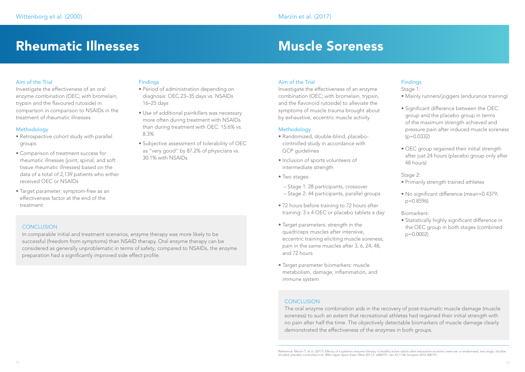# Rheumatic Illnesses and Muscle Soreness

In comparable initial and treatment scenarios, enzyme therapy was more likely to be successful (freedom from symptoms) than NSAID therapy. Oral enzyme therapy can be considered as generally unproblematic in terms of safety; compared to NSAIDs, the enzyme preparation had a significantly improved side effect profile.

### **Findings**

The oral enzyme combination aids in the recovery of post-traumatic muscle damage (muscle soreness) to such an extent that recreational athletes had regained their initial strength with no pain after half the time. The objectively detectable biomarkers of muscle damage clearly demonstrated the effectiveness of the enzymes in both groups.

# Aim of the Trial

Investigate the effectiveness of an oral enzyme combination (OEC; with bromelain, trypsin and the flavoured rutoside) in comparison in comparison to NSAIDs in the treatment of rheumatic illnesses.

# **Methodology**

- Retrospective cohort study with parallel groups
- Comparison of treatment success for rheumatic illnesses (joint, spinal, and soft tissue rheumatic illnesses) based on the data of a total of 2,139 patients who either received OEC or NSAIDs
- Target parameter: symptom-free as an effectiveness factor at the end of the treatment

# **CONCLUSION**

- Period of administration depending on diagnosis: OEC 23–35 days vs. NSAIDs 16–25 days
- Use of additional painkillers was necessary more often during treatment with NSAIDs than during treatment with OEC: 15.6% vs. 8.3%
- Subjective assessment of tolerability of OEC as "very good" by 87.2% of physicians vs. 30.1% with NSAIDs

# Aim of the Trial

Investigate the effectiveness of an enzyme combination (OEC; with bromelain, trypsin, and the flavonoid rutoside) to alleviate the symptoms of muscle trauma brought about by exhaustive, eccentric muscle activity

### **Methodology**

- Randomized, double-blind, placebocontrolled study in accordance with GCP guidelines
- Inclusion of sports volunteers of intermediate strength
- Two stages:
	- Stage 1: 28 participants, crossover – Stage 2: 44 participants, parallel groups
- 72 hours before training to 72 hours after training: 3 x 4 OEC or placebo tablets a day
- Target parameters: strength in the quadriceps muscles after intensive, eccentric training eliciting muscle soreness, pain in the same muscles after 3, 6, 24, 48, and 72 hours
- Target parameter biomarkers: muscle metabolism, damage, inflammation, and immune system

# **CONCLUSION**

# Findings

Stage 1:

- Mainly runners/joggers (endurance training)
- Significant difference between the OEC group and the placebo group in terms of the maximum strength achieved and pressure pain after induced muscle soreness  $(p=0.0332)$
- OEC group regained their initial strength after just 24 hours (placebo group only after 48 hours)

Stage 2:

- Primarily strength trained athletes
- No significant difference (mean=0.4379; p=0.8596)

Biomarkers:

• Statistically highly significant difference in the OEC group in both stages (combined p=0.0002)

Reference: Marzin T, et al. (2017): Effects of a systemic enzyme therapy in healthy active adults after exhaustive eccentric exercise: a randomised, two-stage, doubleblinded, placebo-controlled trial. BMJ Open Sport Exerc Med 2017;2: e000191. doi:10.1136/ bmjsem-2016-000191